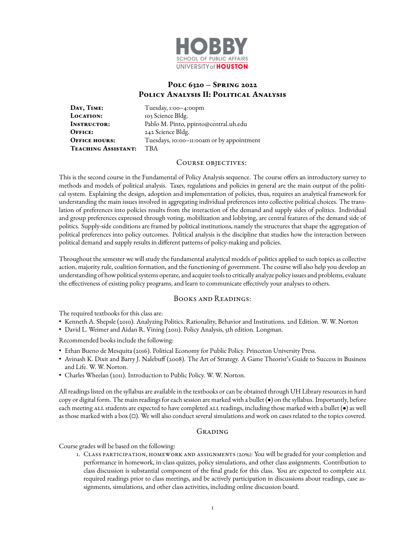

# **Polc 6320 – Spring 2022 Policy Analysis II: Political Analysis**

DAY, TIME: Tuesday, 1:00-4:00pm LOCATION: 103 Science Bldg. **Instructor:** Pablo M. Pinto, ppinto@central.uh.edu **OFFICE:** 242 Science Bldg. **OFFICE HOURS:** Tuesdays, 10:00-11:00am or by appointment **Teaching Assistant:** TBA

#### COURSE OBJECTIVES:

This is the second course in the Fundamental of Policy Analysis sequence. The course offers an introductory survey to methods and models of political analysis. Taxes, regulations and policies in general are the main output of the political system. Explaining the design, adoption and implementation of policies, thus, requires an analytical framework for understanding the main issues involved in aggregating individual preferences into collective political choices. The translation of preferences into policies results from the interaction of the demand and supply sides of politics. Individual and group preferences expressed through voting, mobilization and lobbying, are central features of the demand side of politics. Supply-side conditions are framed by political institutions, namely the structures that shape the aggregation of political preferences into policy outcomes. Political analysis is the discipline that studies how the interaction between political demand and supply results in different patterns of policy-making and policies.

Throughout the semester we will study the fundamental analytical models of politics applied to such topics as collective action, majority rule, coalition formation, and the functioning of government. The course will also help you develop an understanding of how political systems operate, and acquire tools to critically analyze policy issues and problems, evaluate the effectiveness of existing policy programs, and learn to communicate effectively your analyses to others.

# Books and Readings:

The required textbooks for this class are:

- Kenneth A. Shepsle (2010). Analyzing Politics. Rationality, Behavior and Institutions. 2nd Edition. W. W. Norton
- David L. Weimer and Aidan R. Vining (2011). Policy Analysis, 5th edition. Longman.

Recommended books include the following:

- Ethan Bueno de Mesquita (2016). Political Economy for Public Policy. Princeton University Press.
- Avinash K. Dixit and Barry J. Nalebuff (2008). The Art of Strategy. A Game Theorist's Guide to Success in Business and Life. W. W. Norton.
- Charles Wheelan (2011). Introduction to Public Policy. W. W. Norton.

All readings listed on the syllabus are available in the textbooks or can be obtained through UH Library resources in hard copy or digital form. The main readings for each session are marked with a bullet (•) on the syllabus. Importantly, before each meeting ALL students are expected to have completed ALL readings, including those marked with a bullet ( $\bullet$ ) as well as those marked with a box  $(\Box)$ . We will also conduct several simulations and work on cases related to the topics covered.

# Grading

Course grades will be based on the following:

1. Class participation, homework and assignments (20%): You will be graded for your completion and performance in homework, in-class quizzes, policy simulations, and other class assignments. Contribution to class discussion is substantial component of the final grade for this class. You are expected to complete ALL required readings prior to class meetings, and be actively participation in discussions about readings, case assignments, simulations, and other class activities, including online discussion board.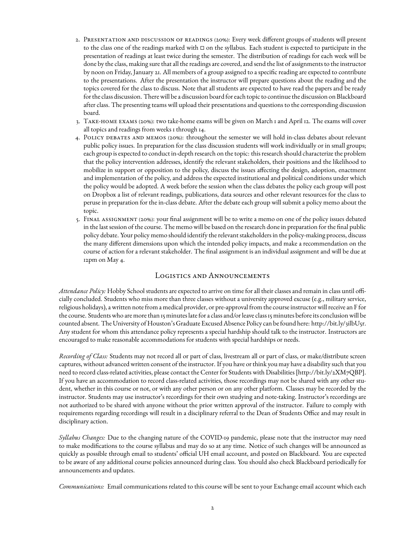- 2. PRESENTATION AND DISCUSSION OF READINGS (20%): Every week different groups of students will present to the class one of the readings marked with  $\Box$  on the syllabus. Each student is expected to participate in the presentation of readings at least twice during the semester. The distribution of readings for each week will be done by the class, making sure that all the readings are covered, and send the list of assignments to the instructor by noon on Friday, January 21. All members of a group assigned to a specific reading are expected to contribute to the presentations. After the presentation the instructor will prepare questions about the reading and the topics covered for the class to discuss. Note that all students are expected to have read the papers and be ready for the class discussion. There will be a discussion board for each topic to continue the discussion on Blackboard after class. The presenting teams will upload their presentations and questions to the corresponding discussion board.
- 3. Take-home exams (20%): two take-home exams will be given on March 1 and April 12. The exams will cover all topics and readings from weeks 1 through 14.
- 4. Policy debates and memos (20%): throughout the semester we will hold in-class debates about relevant public policy issues. In preparation for the class discussion students will work individually or in small groups; each group is expected to conduct in-depth research on the topic: this research should characterize the problem that the policy intervention addresses, identify the relevant stakeholders, their positions and the likelihood to mobilize in support or opposition to the policy, discuss the issues affecting the design, adoption, enactment and implementation of the policy, and address the expected institutional and political conditions under which the policy would be adopted. A week before the session when the class debates the policy each group will post on Dropbox a list of relevant readings, publications, data sources and other relevant resources for the class to peruse in preparation for the in-class debate. After the debate each group will submit a policy memo about the topic.
- 5. FINAL ASSIGNMENT (20%): your final assignment will be to write a memo on one of the policy issues debated in the last session of the course. The memo will be based on the research done in preparation for the final public policy debate. Your policy memo should identify the relevant stakeholders in the policy-making process, discuss the many different dimensions upon which the intended policy impacts, and make a recommendation on the course of action for a relevant stakeholder. The final assignment is an individual assignment and will be due at 12pm on May 4.

# Logistics and Announcements

Attendance Policy: Hobby School students are expected to arrive on time for all their classes and remain in class until officially concluded. Students who miss more than three classes without a university approved excuse (e.g., military service, religious holidays), a written note from a medical provider, or pre-approval from the course instructor will receive an F for the course. Students who are more than 15 minutes late for a class and/or leave class 15 minutes before its conclusion will be counted absent. The University of Houston's Graduate Excused Absence Policy can be found here: [http://bit.ly/3ilbU5r.](http://bit.ly/3ilbU5r) Any student for whom this attendance policy represents a special hardship should talk to the instructor. Instructors are encouraged to make reasonable accommodations for students with special hardships or needs.

*Recording of Class:* Students may not record all or part of class, livestream all or part of class, or make/distribute screen captures, without advanced written consent of the instructor. If you have or think you may have a disability such that you need to record class-related activities, please contact the Center for Students with Disabilities [\[http://bit.ly/2XM7QBP\]](http://bit.ly/2XM7QBP). If you have an accommodation to record class-related activities, those recordings may not be shared with any other student, whether in this course or not, or with any other person or on any other platform. Classes may be recorded by the instructor. Students may use instructor's recordings for their own studying and note-taking. Instructor's recordings are not authorized to be shared with anyone without the prior written approval of the instructor. Failure to comply with requirements regarding recordings will result in a disciplinary referral to the Dean of Students Office and may result in disciplinary action.

*Syllabus Changes:* Due to the changing nature of the COVID-19 pandemic, please note that the instructor may need to make modifications to the course syllabus and may do so at any time. Notice of such changes will be announced as quickly as possible through email to students' official UH email account, and posted on Blackboard. You are expected to be aware of any additional course policies announced during class. You should also check Blackboard periodically for announcements and updates.

*Communications:* Email communications related to this course will be sent to your Exchange email account which each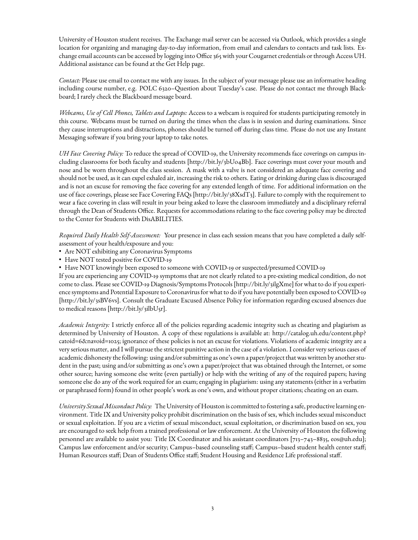University of Houston student receives. The Exchange mail server can be accessed via Outlook, which provides a single location for organizing and managing day-to-day information, from email and calendars to contacts and task lists. Exchange email accounts can be accessed by logging into Office 365 with your Cougarnet credentials or through Access UH. Additional assistance can be found at the Get Help page.

*Contact:* Please use email to contact me with any issues. In the subject of your message please use an informative heading including course number, e.g. POLC 6320–Question about Tuesday's case. Please do not contact me through Blackboard; I rarely check the Blackboard message board.

*Webcams, Use of Cell Phones, Tablets and Laptops:* Access to a webcam is required for students participating remotely in this course. Webcams must be turned on during the times when the class is in session and during examinations. Since they cause interruptions and distractions, phones should be turned off during class time. Please do not use any Instant Messaging software if you bring your laptop to take notes.

*UH Face Covering Policy:* To reduce the spread of COVID-19, the University recommends face coverings on campus including classrooms for both faculty and students [\[http://bit.ly/3bUo4Bb\]](http://bit.ly/3bUo4Bb). Face coverings must cover your mouth and nose and be worn throughout the class session. A mask with a valve is not considered an adequate face covering and should not be used, as it can expel exhaled air, increasing the risk to others. Eating or drinking during class is discouraged and is not an excuse for removing the face covering for any extended length of time. For additional information on the use of face coverings, please see Face Covering FAQs [\[http://bit.ly/38XsdT3\]](http://bit.ly/38XsdT3). Failure to comply with the requirement to wear a face covering in class will result in your being asked to leave the classroom immediately and a disciplinary referral through the Dean of Students Office. Requests for accommodations relating to the face covering policy may be directed to the Center for Students with DisABILITIES.

*Required Daily Health Self-Assessment:* Your presence in class each session means that you have completed a daily selfassessment of your health/exposure and you:

- Are NOT exhibiting any Coronavirus Symptoms
- Have NOT tested positive for COVID-19
- Have NOT knowingly been exposed to someone with COVID-19 or suspected/presumed COVID-19

If you are experiencing any COVID-19 symptoms that are not clearly related to a pre-existing medical condition, do not come to class. Please see COVID-19 Diagnosis/Symptoms Protocols [\[http://bit.ly/3ilgXme\]](http://bit.ly/3ilgXme) for what to do if you experience symptoms and Potential Exposure to Coronavirus for what to do if you have potentially been exposed to COVID-19 [\[http://bit.ly/3sBV6vs\]](http://bit.ly/3sBV6vs). Consult the Graduate Excused Absence Policy for information regarding excused absences due to medical reasons [\[http://bit.ly/3ilbU5r\]](http://bit.ly/3ilbU5r).

*Academic Integrity:* I strictly enforce all of the policies regarding academic integrity such as cheating and plagiarism as determined by University of Houston. A copy of these regulations is available at: [http://catalog.uh.edu/content.php?](http://catalog.uh.edu/content.php?catoid=6&navoid=1025) [catoid=6&navoid=1025;](http://catalog.uh.edu/content.php?catoid=6&navoid=1025) ignorance of these policies is not an excuse for violations. Violations of academic integrity are a very serious matter, and I will pursue the strictest punitive action in the case of a violation. I consider very serious cases of academic dishonesty the following: using and/or submitting as one's own a paper/project that was written by another student in the past; using and/or submitting as one's own a paper/project that was obtained through the Internet, or some other source; having someone else write (even partially) or help with the writing of any of the required papers; having someone else do any of the work required for an exam; engaging in plagiarism: using any statements (either in a verbatim or paraphrased form) found in other people's work as one's own, and without proper citations; cheating on an exam.

*University SexualMisconduct Policy:* The University of Houston is committed to fostering a safe, productive learning environment. Title IX and University policy prohibit discrimination on the basis of sex, which includes sexual misconduct or sexual exploitation. If you are a victim of sexual misconduct, sexual exploitation, or discrimination based on sex, you are encouraged to seek help from a trained professional or law enforcement. At the University of Houston the following personnel are available to assist you: Title IX Coordinator and his assistant coordinators [713–743–8835, eos@uh.edu]; Campus law enforcement and/or security; Campus–based counseling staff; Campus–based student health center staff; Human Resources staff; Dean of Students Office staff; Student Housing and Residence Life professional staff.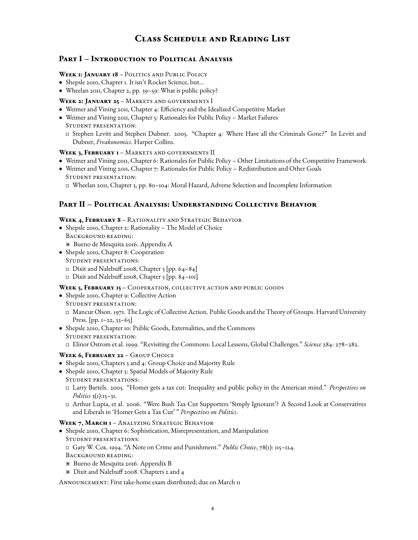# **Class Schedule and Reading List**

# **Part I – Introduction to Political Analysis**

#### **Week 1: January 18** – Politics and Public Policy

- Shepsle 2010, Chapter 1. It isn't Rocket Science, but...
- Wheelan 2011, Chapter 2, pp. 39-59: What is public policy?

#### **Week 2: January 25** – Markets and governments I

- Weimer and Vining 2011, Chapter 4: Efficiency and the Idealized Competitive Market
- Weimer and Vining 2011, Chapter 5: Rationales for Public Policy Market Failures Student presentation:
	- Stephen Levitt and Stephen Dubner. 2005. "Chapter 4: Where Have all the Criminals Gone?" In Levitt and Dubner, *Freakonomics*. Harper Collins.

#### **Week 3, February 1** – Markets and governments II

- Weimer and Vining 2011, Chapter 6: Rationales for Public Policy Other Limitations of the Competitive Framework
- Weimer and Vining 2011, Chapter 7: Rationales for Public Policy Redistribution and Other Goals Student presentation:
	- Wheelan 2011, Chapter 3, pp. 80–104: Moral Hazard, Adverse Selection and Incomplete Information

# **Part II – Political Analysis: Understanding Collective Behavior**

#### **Week 4, February 8** – Rationality and Strategic Behavior

- Shepsle 2010, Chapter 2: Rationality The Model of Choice Background reading: > Bueno de Mesquita 2016. Appendix A
- Shepsle 2010, Chapter 8: Cooperation Student presentations:
	- $\Box$  Dixit and Nalebuff 2008, Chapter 3 [pp. 64-84]
	- $\Box$  Dixit and Nalebuff 2008, Chapter 3 [pp. 84-101]

# WEEK 5, FEBRUARY 15 - COOPERATION, COLLECTIVE ACTION AND PUBLIC GOODS

- Shepsle 2010, Chapter 9: Collective Action Student presentation:
	- Mancur Olson. 1971. The Logic of Collective Action. Public Goods and the Theory of Groups. Harvard University Press.  $[pp. 1-22, 33-65]$
- Shepsle 2010, Chapter 10: Public Goods, Externalities, and the Commons Student presentation:
	- Elinor Ostrom et al. 1999. "Revisiting the Commons: Local Lessons, Global Challenges." *Science* 284: 278–282.

# WEEK 6, FEBRUARY 22 - GROUP CHOICE

- Shepsle 2010, Chapters 3 and 4: Group Choice and Majority Rule
- Shepsle 2010, Chapter 5: Spatial Models of Majority Rule Student presentations:
	- Larry Bartels. 2005. "Homer gets a tax cut: Inequality and public policy in the American mind." *Perspectives on Politics* 3(1):15–31.
	- Arthur Lupia, et al. 2006. "Were Bush Tax Cut Supporters 'Simply Ignorant'? A Second Look at Conservatives and Liberals in 'Homer Gets a Tax Cut' " *Perspectives on Politics*.

#### WEEK 7, MARCH I - ANALYZING STRATEGIC BEHAVIOR

- Shepsle 2010, Chapter 6: Sophistication, Misrepresentation, and Manipulation Student presentations: Gary W. Cox. 1994. "A Note on Crime and Punishment." *Public Choice*, 78(1): 115–124. Background reading:
	- > Bueno de Mesquita 2016. Appendix B
	- \* Dixit and Nalebuff 2008. Chapters 2 and 4

Announcement: First take-home exam distributed; due on March 11